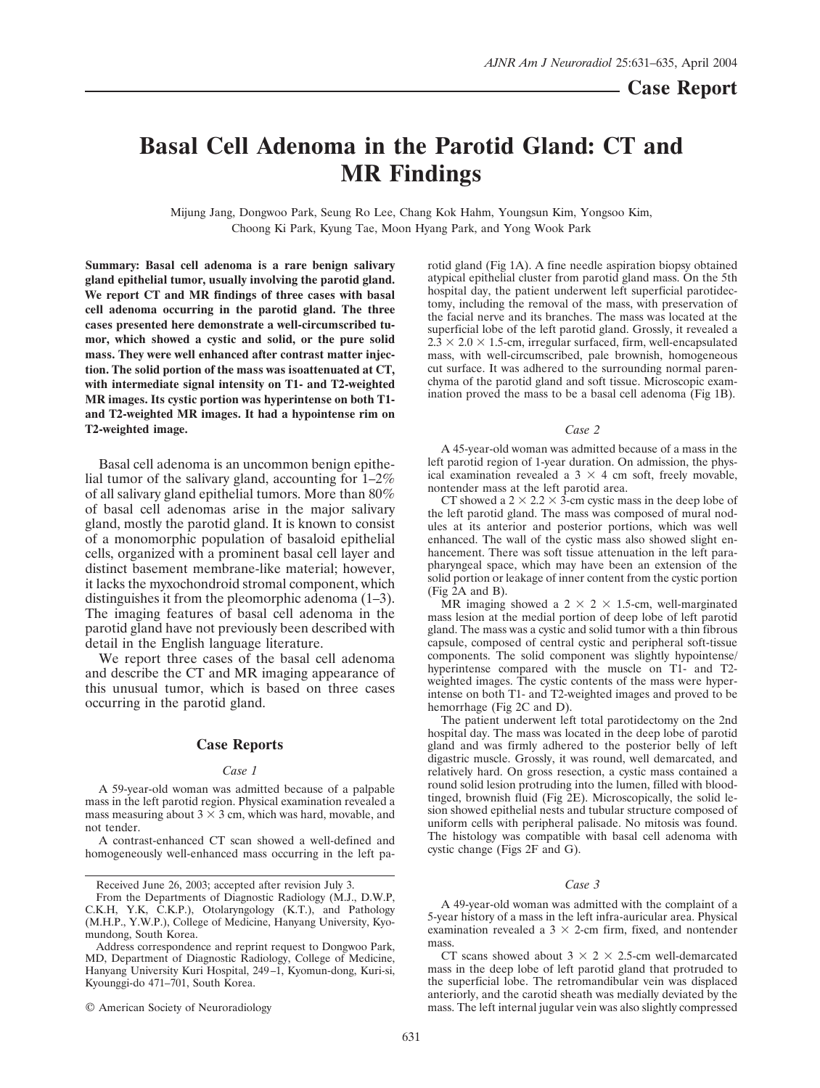# **Basal Cell Adenoma in the Parotid Gland: CT and MR Findings**

Mijung Jang, Dongwoo Park, Seung Ro Lee, Chang Kok Hahm, Youngsun Kim, Yongsoo Kim, Choong Ki Park, Kyung Tae, Moon Hyang Park, and Yong Wook Park

**Summary: Basal cell adenoma is a rare benign salivary gland epithelial tumor, usually involving the parotid gland. We report CT and MR findings of three cases with basal cell adenoma occurring in the parotid gland. The three cases presented here demonstrate a well-circumscribed tumor, which showed a cystic and solid, or the pure solid mass. They were well enhanced after contrast matter injection. The solid portion of the mass was isoattenuated at CT, with intermediate signal intensity on T1- and T2-weighted MR images. Its cystic portion was hyperintense on both T1 and T2-weighted MR images. It had a hypointense rim on T2-weighted image.**

Basal cell adenoma is an uncommon benign epithelial tumor of the salivary gland, accounting for  $1-2\%$ of all salivary gland epithelial tumors. More than 80% of basal cell adenomas arise in the major salivary gland, mostly the parotid gland. It is known to consist of a monomorphic population of basaloid epithelial cells, organized with a prominent basal cell layer and distinct basement membrane-like material; however, it lacks the myxochondroid stromal component, which distinguishes it from the pleomorphic adenoma (1–3). The imaging features of basal cell adenoma in the parotid gland have not previously been described with detail in the English language literature.

We report three cases of the basal cell adenoma and describe the CT and MR imaging appearance of this unusual tumor, which is based on three cases occurring in the parotid gland.

## **Case Reports**

## *Case 1*

A 59-year-old woman was admitted because of a palpable mass in the left parotid region. Physical examination revealed a mass measuring about  $3 \times 3$  cm, which was hard, movable, and not tender.

A contrast-enhanced CT scan showed a well-defined and homogeneously well-enhanced mass occurring in the left pa-

© American Society of Neuroradiology

rotid gland (Fig 1A). A fine needle aspiration biopsy obtained atypical epithelial cluster from parotid gland mass. On the 5th hospital day, the patient underwent left superficial parotidectomy, including the removal of the mass, with preservation of the facial nerve and its branches. The mass was located at the superficial lobe of the left parotid gland. Grossly, it revealed a  $2.\overline{3} \times 2.0 \times 1.5$ -cm, irregular surfaced, firm, well-encapsulated mass, with well-circumscribed, pale brownish, homogeneous cut surface. It was adhered to the surrounding normal parenchyma of the parotid gland and soft tissue. Microscopic examination proved the mass to be a basal cell adenoma (Fig 1B).

#### *Case 2*

A 45-year-old woman was admitted because of a mass in the left parotid region of 1-year duration. On admission, the physical examination revealed a  $3 \times 4$  cm soft, freely movable, nontender mass at the left parotid area.

CT showed a  $2 \times 2.2 \times 3$ -cm cystic mass in the deep lobe of the left parotid gland. The mass was composed of mural nodules at its anterior and posterior portions, which was well enhanced. The wall of the cystic mass also showed slight enhancement. There was soft tissue attenuation in the left parapharyngeal space, which may have been an extension of the solid portion or leakage of inner content from the cystic portion (Fig 2A and B).

MR imaging showed a  $2 \times 2 \times 1.5$ -cm, well-marginated mass lesion at the medial portion of deep lobe of left parotid gland. The mass was a cystic and solid tumor with a thin fibrous capsule, composed of central cystic and peripheral soft-tissue components. The solid component was slightly hypointense/ hyperintense compared with the muscle on T1- and T2weighted images. The cystic contents of the mass were hyperintense on both T1- and T2-weighted images and proved to be hemorrhage (Fig 2C and D).

The patient underwent left total parotidectomy on the 2nd hospital day. The mass was located in the deep lobe of parotid gland and was firmly adhered to the posterior belly of left digastric muscle. Grossly, it was round, well demarcated, and relatively hard. On gross resection, a cystic mass contained a round solid lesion protruding into the lumen, filled with bloodtinged, brownish fluid (Fig 2E). Microscopically, the solid lesion showed epithelial nests and tubular structure composed of uniform cells with peripheral palisade. No mitosis was found. The histology was compatible with basal cell adenoma with cystic change (Figs 2F and G).

### *Case 3*

A 49-year-old woman was admitted with the complaint of a 5-year history of a mass in the left infra-auricular area. Physical examination revealed a  $3 \times 2$ -cm firm, fixed, and nontender mass.

CT scans showed about  $3 \times 2 \times 2.5$ -cm well-demarcated mass in the deep lobe of left parotid gland that protruded to the superficial lobe. The retromandibular vein was displaced anteriorly, and the carotid sheath was medially deviated by the mass. The left internal jugular vein was also slightly compressed

Received June 26, 2003; accepted after revision July 3.

From the Departments of Diagnostic Radiology (M.J., D.W.P, C.K.H, Y.K, C.K.P.), Otolaryngology (K.T.), and Pathology (M.H.P., Y.W.P.), College of Medicine, Hanyang University, Kyomundong, South Korea.

Address correspondence and reprint request to Dongwoo Park, MD, Department of Diagnostic Radiology, College of Medicine, Hanyang University Kuri Hospital, 249–1, Kyomun-dong, Kuri-si, Kyounggi-do 471–701, South Korea.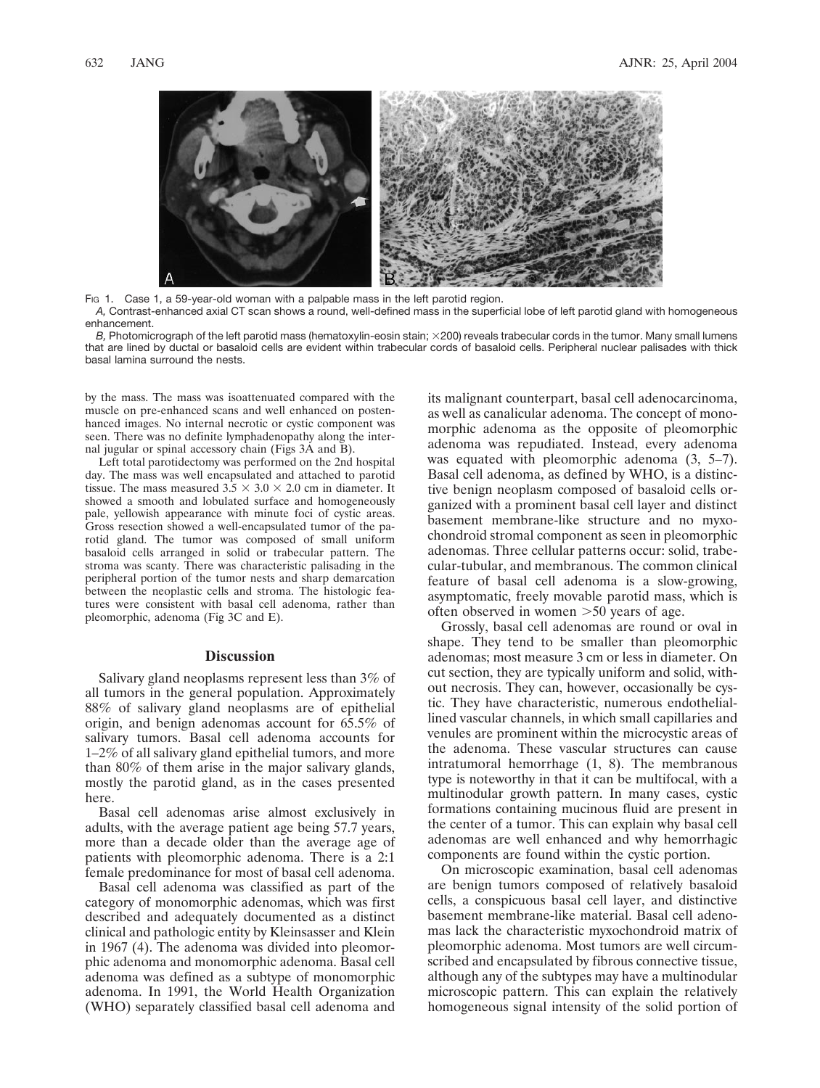

Fig 1. Case 1, a 59-year-old woman with a palpable mass in the left parotid region. *A,* Contrast-enhanced axial CT scan shows a round, well-defined mass in the superficial lobe of left parotid gland with homogeneous enhancement.

*B*. Photomicrograph of the left parotid mass (hematoxylin-eosin stain:  $\times$ 200) reveals trabecular cords in the tumor. Many small lumens that are lined by ductal or basaloid cells are evident within trabecular cords of basaloid cells. Peripheral nuclear palisades with thick basal lamina surround the nests.

by the mass. The mass was isoattenuated compared with the muscle on pre-enhanced scans and well enhanced on postenhanced images. No internal necrotic or cystic component was seen. There was no definite lymphadenopathy along the internal jugular or spinal accessory chain (Figs 3A and B).

Left total parotidectomy was performed on the 2nd hospital day. The mass was well encapsulated and attached to parotid tissue. The mass measured  $3.5 \times 3.0 \times 2.0$  cm in diameter. It showed a smooth and lobulated surface and homogeneously pale, yellowish appearance with minute foci of cystic areas. Gross resection showed a well-encapsulated tumor of the parotid gland. The tumor was composed of small uniform basaloid cells arranged in solid or trabecular pattern. The stroma was scanty. There was characteristic palisading in the peripheral portion of the tumor nests and sharp demarcation between the neoplastic cells and stroma. The histologic features were consistent with basal cell adenoma, rather than pleomorphic, adenoma (Fig 3C and E).

## **Discussion**

Salivary gland neoplasms represent less than 3% of all tumors in the general population. Approximately 88% of salivary gland neoplasms are of epithelial origin, and benign adenomas account for 65.5% of salivary tumors. Basal cell adenoma accounts for 1–2% of all salivary gland epithelial tumors, and more than 80% of them arise in the major salivary glands, mostly the parotid gland, as in the cases presented here.

Basal cell adenomas arise almost exclusively in adults, with the average patient age being 57.7 years, more than a decade older than the average age of patients with pleomorphic adenoma. There is a 2:1 female predominance for most of basal cell adenoma.

Basal cell adenoma was classified as part of the category of monomorphic adenomas, which was first described and adequately documented as a distinct clinical and pathologic entity by Kleinsasser and Klein in 1967 (4). The adenoma was divided into pleomorphic adenoma and monomorphic adenoma. Basal cell adenoma was defined as a subtype of monomorphic adenoma. In 1991, the World Health Organization (WHO) separately classified basal cell adenoma and its malignant counterpart, basal cell adenocarcinoma, as well as canalicular adenoma. The concept of monomorphic adenoma as the opposite of pleomorphic adenoma was repudiated. Instead, every adenoma was equated with pleomorphic adenoma  $(3, 5-7)$ . Basal cell adenoma, as defined by WHO, is a distinctive benign neoplasm composed of basaloid cells organized with a prominent basal cell layer and distinct basement membrane-like structure and no myxochondroid stromal component as seen in pleomorphic adenomas. Three cellular patterns occur: solid, trabecular-tubular, and membranous. The common clinical feature of basal cell adenoma is a slow-growing, asymptomatic, freely movable parotid mass, which is often observed in women  $>50$  years of age.

Grossly, basal cell adenomas are round or oval in shape. They tend to be smaller than pleomorphic adenomas; most measure 3 cm or less in diameter. On cut section, they are typically uniform and solid, without necrosis. They can, however, occasionally be cystic. They have characteristic, numerous endotheliallined vascular channels, in which small capillaries and venules are prominent within the microcystic areas of the adenoma. These vascular structures can cause intratumoral hemorrhage (1, 8). The membranous type is noteworthy in that it can be multifocal, with a multinodular growth pattern. In many cases, cystic formations containing mucinous fluid are present in the center of a tumor. This can explain why basal cell adenomas are well enhanced and why hemorrhagic components are found within the cystic portion.

On microscopic examination, basal cell adenomas are benign tumors composed of relatively basaloid cells, a conspicuous basal cell layer, and distinctive basement membrane-like material. Basal cell adenomas lack the characteristic myxochondroid matrix of pleomorphic adenoma. Most tumors are well circumscribed and encapsulated by fibrous connective tissue, although any of the subtypes may have a multinodular microscopic pattern. This can explain the relatively homogeneous signal intensity of the solid portion of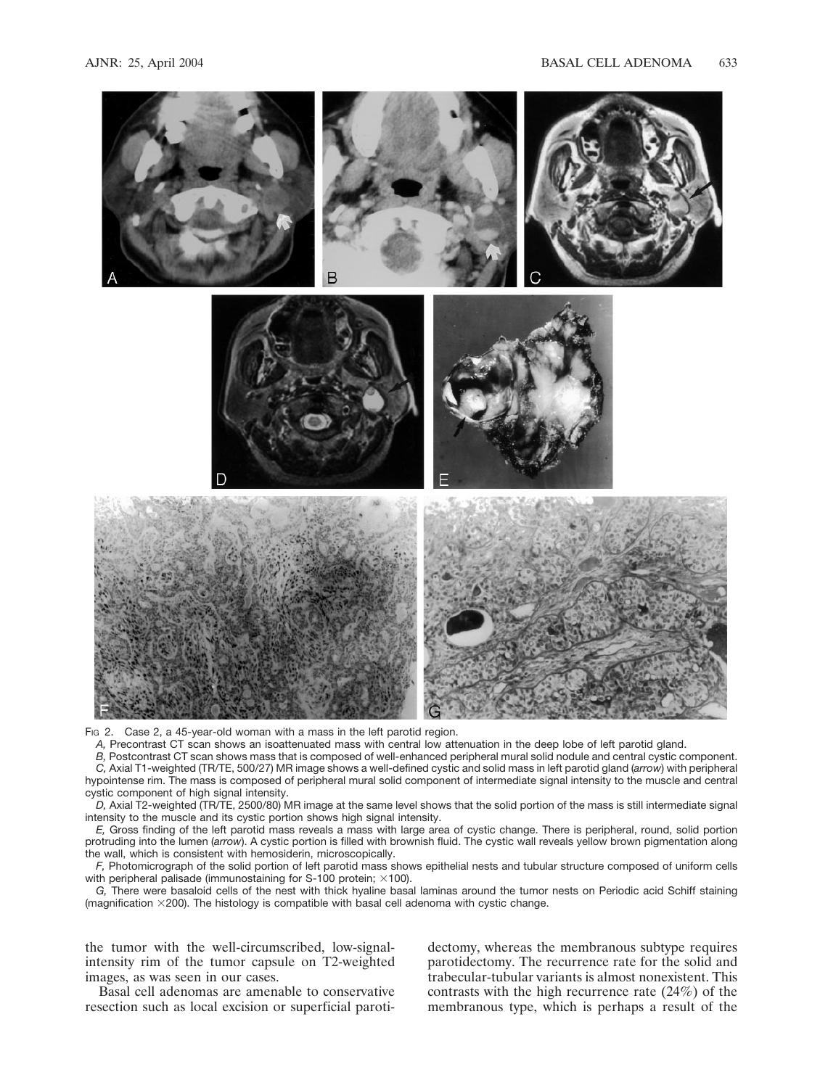

FIG 2. Case 2, a 45-year-old woman with a mass in the left parotid region.

*A,* Precontrast CT scan shows an isoattenuated mass with central low attenuation in the deep lobe of left parotid gland.

*B,* Postcontrast CT scan shows mass that is composed of well-enhanced peripheral mural solid nodule and central cystic component. *C,* Axial T1-weighted (TR/TE, 500/27) MR image shows a well-defined cystic and solid mass in left parotid gland (*arrow*) with peripheral hypointense rim. The mass is composed of peripheral mural solid component of intermediate signal intensity to the muscle and central cystic component of high signal intensity.

*D,* Axial T2-weighted (TR/TE, 2500/80) MR image at the same level shows that the solid portion of the mass is still intermediate signal intensity to the muscle and its cystic portion shows high signal intensity.

*E,* Gross finding of the left parotid mass reveals a mass with large area of cystic change. There is peripheral, round, solid portion protruding into the lumen (*arrow*). A cystic portion is filled with brownish fluid. The cystic wall reveals yellow brown pigmentation along the wall, which is consistent with hemosiderin, microscopically.

*F,* Photomicrograph of the solid portion of left parotid mass shows epithelial nests and tubular structure composed of uniform cells with peripheral palisade (immunostaining for S-100 protein;  $\times$ 100).

*G,* There were basaloid cells of the nest with thick hyaline basal laminas around the tumor nests on Periodic acid Schiff staining (magnification  $\times$  200). The histology is compatible with basal cell adenoma with cystic change.

the tumor with the well-circumscribed, low-signalintensity rim of the tumor capsule on T2-weighted images, as was seen in our cases.

Basal cell adenomas are amenable to conservative resection such as local excision or superficial parotidectomy, whereas the membranous subtype requires parotidectomy. The recurrence rate for the solid and trabecular-tubular variants is almost nonexistent. This contrasts with the high recurrence rate (24%) of the membranous type, which is perhaps a result of the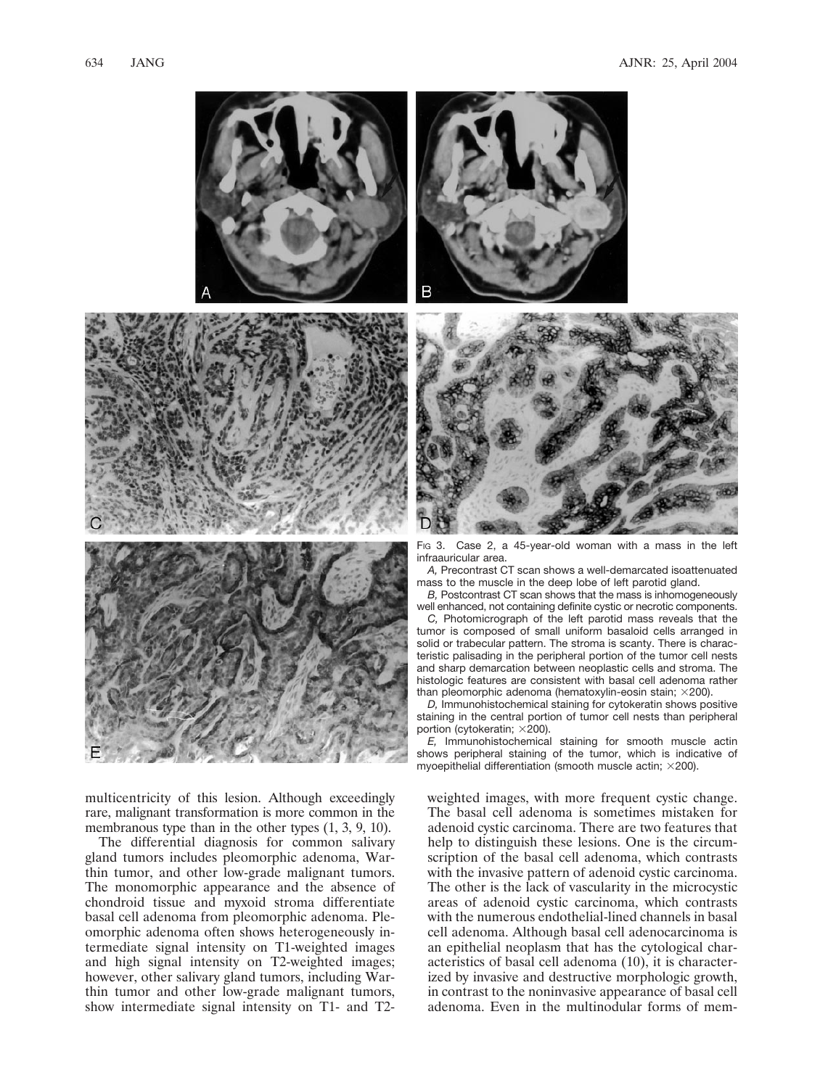

multicentricity of this lesion. Although exceedingly rare, malignant transformation is more common in the membranous type than in the other types (1, 3, 9, 10).

The differential diagnosis for common salivary gland tumors includes pleomorphic adenoma, Warthin tumor, and other low-grade malignant tumors. The monomorphic appearance and the absence of chondroid tissue and myxoid stroma differentiate basal cell adenoma from pleomorphic adenoma. Pleomorphic adenoma often shows heterogeneously intermediate signal intensity on T1-weighted images and high signal intensity on T2-weighted images; however, other salivary gland tumors, including Warthin tumor and other low-grade malignant tumors, show intermediate signal intensity on T1- and T2-





Fig 3. Case 2, a 45-year-old woman with a mass in the left infraauricular area.

*A,* Precontrast CT scan shows a well-demarcated isoattenuated mass to the muscle in the deep lobe of left parotid gland.

*B,* Postcontrast CT scan shows that the mass is inhomogeneously well enhanced, not containing definite cystic or necrotic components.

*C,* Photomicrograph of the left parotid mass reveals that the tumor is composed of small uniform basaloid cells arranged in solid or trabecular pattern. The stroma is scanty. There is characteristic palisading in the peripheral portion of the tumor cell nests and sharp demarcation between neoplastic cells and stroma. The histologic features are consistent with basal cell adenoma rather than pleomorphic adenoma (hematoxylin-eosin stain;  $\times$ 200).

*D,* Immunohistochemical staining for cytokeratin shows positive staining in the central portion of tumor cell nests than peripheral portion (cytokeratin;  $\times$ 200).

*E,* Immunohistochemical staining for smooth muscle actin shows peripheral staining of the tumor, which is indicative of myoepithelial differentiation (smooth muscle actin;  $\times$ 200).

weighted images, with more frequent cystic change. The basal cell adenoma is sometimes mistaken for adenoid cystic carcinoma. There are two features that help to distinguish these lesions. One is the circumscription of the basal cell adenoma, which contrasts with the invasive pattern of adenoid cystic carcinoma. The other is the lack of vascularity in the microcystic areas of adenoid cystic carcinoma, which contrasts with the numerous endothelial-lined channels in basal cell adenoma. Although basal cell adenocarcinoma is an epithelial neoplasm that has the cytological characteristics of basal cell adenoma (10), it is characterized by invasive and destructive morphologic growth, in contrast to the noninvasive appearance of basal cell adenoma. Even in the multinodular forms of mem